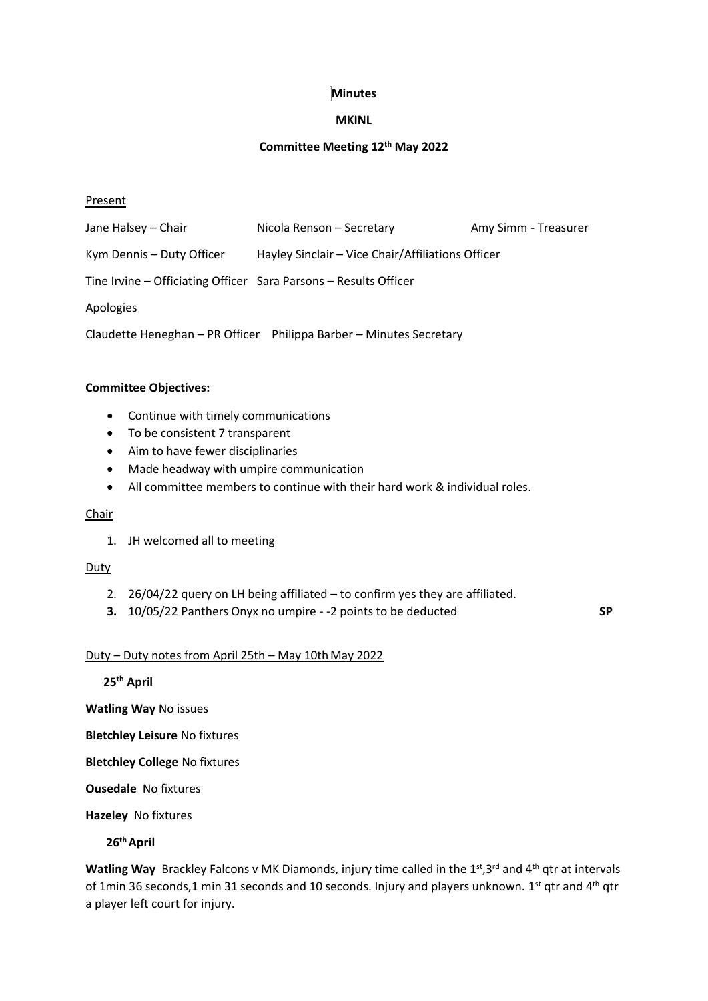## **Minutes**

## **MKINL**

## **Committee Meeting 12th May 2022**

## **Present**

| Jane Halsey – Chair                                              | Nicola Renson - Secretary                                           | Amy Simm - Treasurer |
|------------------------------------------------------------------|---------------------------------------------------------------------|----------------------|
| Kym Dennis – Duty Officer                                        | Hayley Sinclair - Vice Chair/Affiliations Officer                   |                      |
| Tine Irvine – Officiating Officer Sara Parsons – Results Officer |                                                                     |                      |
| <b>Apologies</b>                                                 |                                                                     |                      |
|                                                                  | Claudette Heneghan - PR Officer Philippa Barber - Minutes Secretary |                      |

## **Committee Objectives:**

- Continue with timely communications
- To be consistent 7 transparent
- Aim to have fewer disciplinaries
- Made headway with umpire communication
- All committee members to continue with their hard work & individual roles.

## Chair

1. JH welcomed all to meeting

## Duty

- 2. 26/04/22 query on LH being affiliated to confirm yes they are affiliated.
- **3.** 10/05/22 Panthers Onyx no umpire -2 points to be deducted **SP**

# Duty – Duty notes from April 25th – May 10th May 2022

 **25th April**

**Watling Way** No issues

**Bletchley Leisure** No fixtures

**Bletchley College** No fixtures

**Ousedale** No fixtures

**Hazeley** No fixtures

 **26thApril**

Watling Way Brackley Falcons v MK Diamonds, injury time called in the 1<sup>st</sup>,3<sup>rd</sup> and 4<sup>th</sup> qtr at intervals of 1min 36 seconds,1 min 31 seconds and 10 seconds. Injury and players unknown. 1<sup>st</sup> qtr and 4<sup>th</sup> qtr a player left court for injury.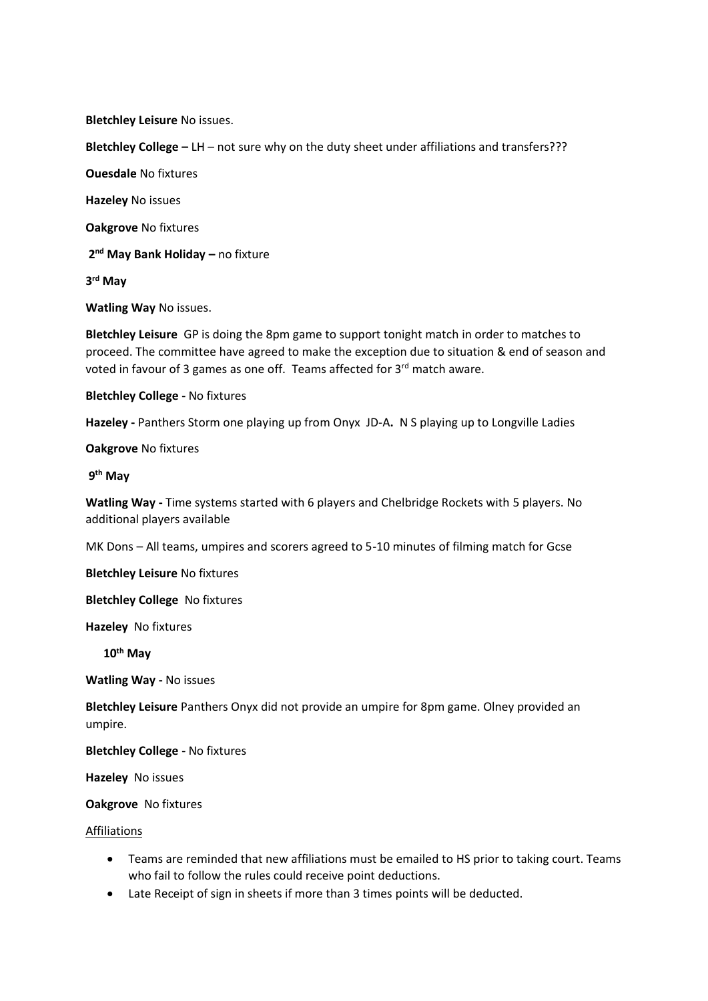**Bletchley Leisure** No issues.

**Bletchley College –** LH – not sure why on the duty sheet under affiliations and transfers???

**Ouesdale** No fixtures

**Hazeley** No issues

**Oakgrove** No fixtures

**2 nd May Bank Holiday –** no fixture

**3 rd May**

**Watling Way** No issues.

**Bletchley Leisure** GP is doing the 8pm game to support tonight match in order to matches to proceed. The committee have agreed to make the exception due to situation & end of season and voted in favour of 3 games as one off. Teams affected for 3rd match aware.

**Bletchley College -** No fixtures

**Hazeley -** Panthers Storm one playing up from Onyx JD-A**.** N S playing up to Longville Ladies

**Oakgrove** No fixtures

**9 th May**

**Watling Way -** Time systems started with 6 players and Chelbridge Rockets with 5 players. No additional players available

MK Dons – All teams, umpires and scorers agreed to 5-10 minutes of filming match for Gcse

**Bletchley Leisure** No fixtures

**Bletchley College** No fixtures

**Hazeley** No fixtures

 **10th May**

**Watling Way -** No issues

**Bletchley Leisure** Panthers Onyx did not provide an umpire for 8pm game. Olney provided an umpire.

**Bletchley College -** No fixtures

**Hazeley** No issues

**Oakgrove** No fixtures

### Affiliations

- Teams are reminded that new affiliations must be emailed to HS prior to taking court. Teams who fail to follow the rules could receive point deductions.
- Late Receipt of sign in sheets if more than 3 times points will be deducted.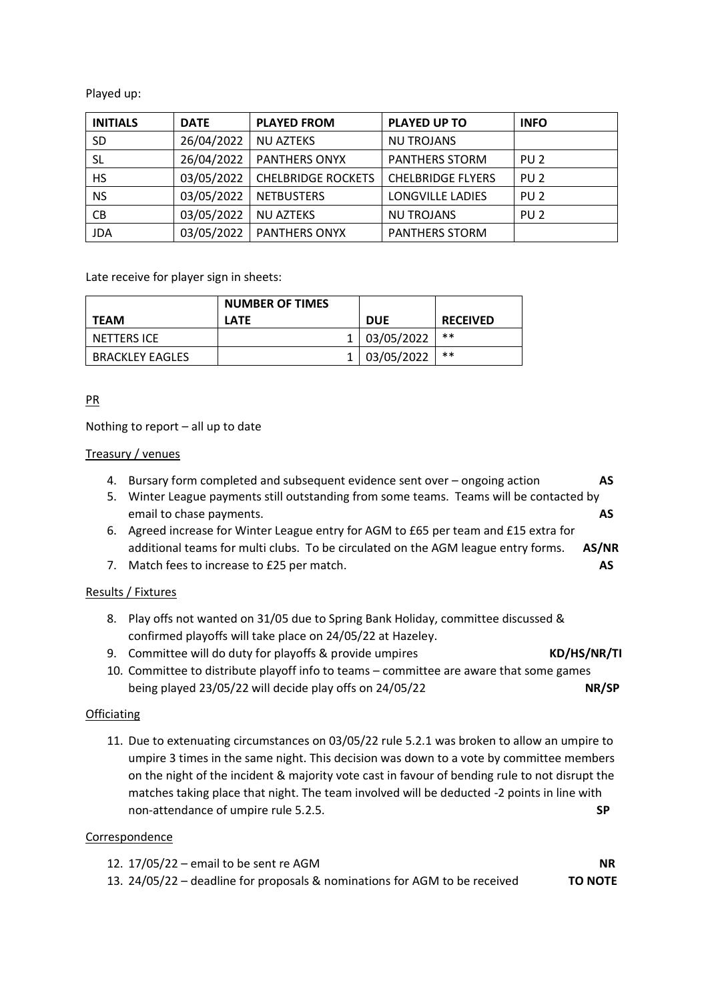Played up:

| <b>INITIALS</b> | <b>DATE</b> | <b>PLAYED FROM</b>        | <b>PLAYED UP TO</b>      | <b>INFO</b>     |
|-----------------|-------------|---------------------------|--------------------------|-----------------|
| <b>SD</b>       | 26/04/2022  | <b>NU AZTEKS</b>          | <b>NU TROJANS</b>        |                 |
| SL              | 26/04/2022  | <b>PANTHERS ONYX</b>      | <b>PANTHERS STORM</b>    | PU <sub>2</sub> |
| HS.             | 03/05/2022  | <b>CHELBRIDGE ROCKETS</b> | <b>CHELBRIDGE FLYERS</b> | PU <sub>2</sub> |
| <b>NS</b>       | 03/05/2022  | <b>NETBUSTERS</b>         | LONGVILLE LADIES         | PU <sub>2</sub> |
| CB              | 03/05/2022  | <b>NU AZTEKS</b>          | <b>NU TROJANS</b>        | PU <sub>2</sub> |
| <b>JDA</b>      | 03/05/2022  | <b>PANTHERS ONYX</b>      | <b>PANTHERS STORM</b>    |                 |

Late receive for player sign in sheets:

| <b>TEAM</b>            | <b>NUMBER OF TIMES</b><br><b>LATE</b> | <b>DUE</b>     | <b>RECEIVED</b> |
|------------------------|---------------------------------------|----------------|-----------------|
| NETTERS ICE            |                                       | 1   03/05/2022 | **              |
| <b>BRACKLEY EAGLES</b> |                                       | 1   03/05/2022 | **              |

# PR

Nothing to report – all up to date

## Treasury / venues

- 4. Bursary form completed and subsequent evidence sent over ongoing action **AS**
- 5. Winter League payments still outstanding from some teams. Teams will be contacted by email to chase payments. **AS**
- 6. Agreed increase for Winter League entry for AGM to £65 per team and £15 extra for additional teams for multi clubs. To be circulated on the AGM league entry forms. **AS/NR**
- 7. Match fees to increase to £25 per match. **AS**

# Results / Fixtures

- 8. Play offs not wanted on 31/05 due to Spring Bank Holiday, committee discussed & confirmed playoffs will take place on 24/05/22 at Hazeley.
- 9. Committee will do duty for playoffs & provide umpires **KD/HS/NR/TI**
- 10. Committee to distribute playoff info to teams committee are aware that some games being played 23/05/22 will decide play offs on 24/05/22 **NR/SP**

## **Officiating**

11. Due to extenuating circumstances on 03/05/22 rule 5.2.1 was broken to allow an umpire to umpire 3 times in the same night. This decision was down to a vote by committee members on the night of the incident & majority vote cast in favour of bending rule to not disrupt the matches taking place that night. The team involved will be deducted -2 points in line with non-attendance of umpire rule 5.2.5. **SP**

## **Correspondence**

12. 17/05/22 – email to be sent re AGM **NR** 13. 24/05/22 – deadline for proposals & nominations for AGM to be received **TO NOTE**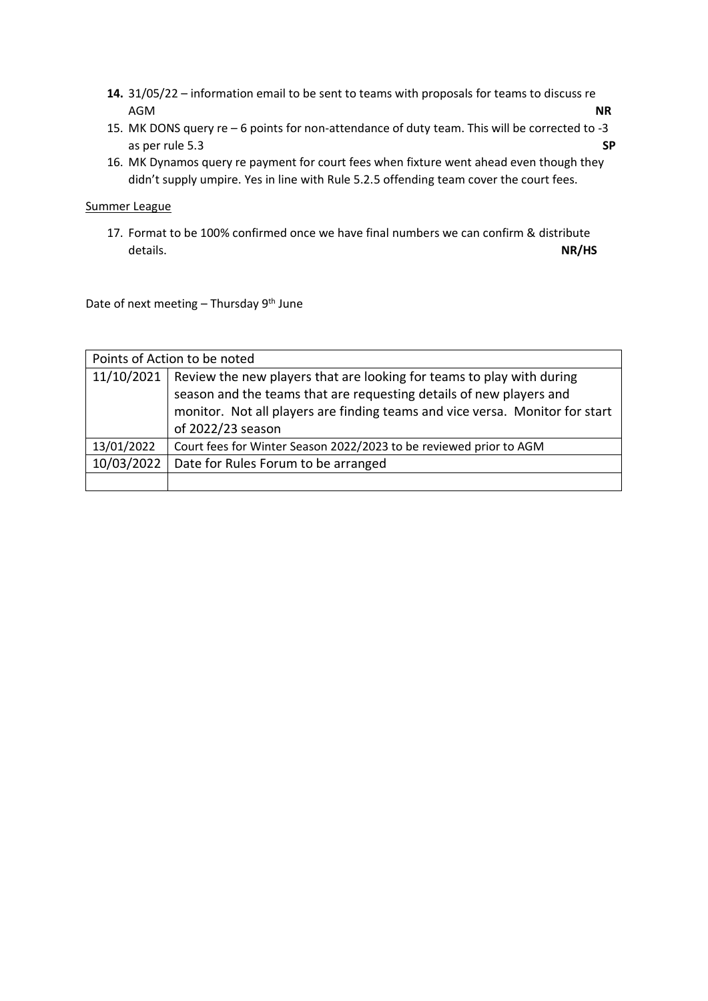- **14.** 31/05/22 information email to be sent to teams with proposals for teams to discuss re AGM **NR**
- 15. MK DONS query re 6 points for non-attendance of duty team. This will be corrected to -3 as per rule 5.3 **SP**
- 16. MK Dynamos query re payment for court fees when fixture went ahead even though they didn't supply umpire. Yes in line with Rule 5.2.5 offending team cover the court fees.

### Summer League

17. Format to be 100% confirmed once we have final numbers we can confirm & distribute details. **NR/HS**

Date of next meeting  $-$  Thursday 9<sup>th</sup> June

| Points of Action to be noted |                                                                                                                                                                                                                                                                |  |
|------------------------------|----------------------------------------------------------------------------------------------------------------------------------------------------------------------------------------------------------------------------------------------------------------|--|
|                              | 11/10/2021   Review the new players that are looking for teams to play with during<br>season and the teams that are requesting details of new players and<br>monitor. Not all players are finding teams and vice versa. Monitor for start<br>of 2022/23 season |  |
| 13/01/2022                   | Court fees for Winter Season 2022/2023 to be reviewed prior to AGM                                                                                                                                                                                             |  |
| 10/03/2022                   | Date for Rules Forum to be arranged                                                                                                                                                                                                                            |  |
|                              |                                                                                                                                                                                                                                                                |  |